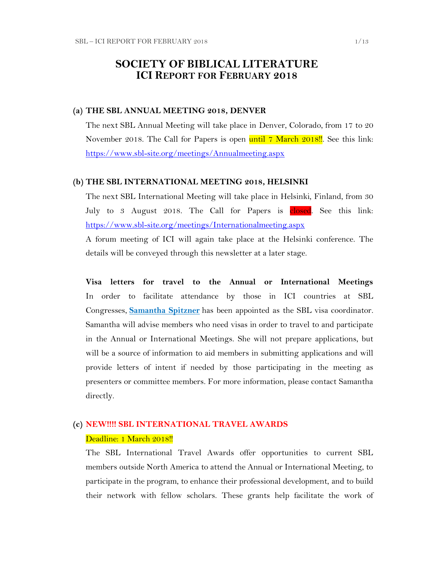### **SOCIETY OF BIBLICAL LITERATURE ICI REPORT FOR FEBRUARY 2018**

#### **(a) THE SBL ANNUAL MEETING 2018, DENVER**

The next SBL Annual Meeting will take place in Denver, Colorado, from 17 to 20 November 2018. The Call for Papers is open until 7 March 2018!! See this link: <https://www.sbl-site.org/meetings/Annualmeeting.aspx>

#### **(b) THE SBL INTERNATIONAL MEETING 2018, HELSINKI**

The next SBL International Meeting will take place in Helsinki, Finland, from 30 July to 3 August 2018. The Call for Papers is closed. See this link: <https://www.sbl-site.org/meetings/Internationalmeeting.aspx>

A forum meeting of ICI will again take place at the Helsinki conference. The details will be conveyed through this newsletter at a later stage.

**Visa letters for travel to the Annual or International Meetings** In order to facilitate attendance by those in ICI countries at SBL Congresses, **[Samantha Spitzner](mailto:samantha.spitzner@sbl-site.org)** has been appointed as the SBL visa coordinator. Samantha will advise members who need visas in order to travel to and participate in the Annual or International Meetings. She will not prepare applications, but will be a source of information to aid members in submitting applications and will provide letters of intent if needed by those participating in the meeting as presenters or committee members. For more information, please contact Samantha directly.

### **(c) NEW!!!! SBL INTERNATIONAL TRAVEL AWARDS** Deadline: 1 March 2018!!

The SBL International Travel Awards offer opportunities to current SBL members outside North America to attend the Annual or International Meeting, to participate in the program, to enhance their professional development, and to build their network with fellow scholars. These grants help facilitate the work of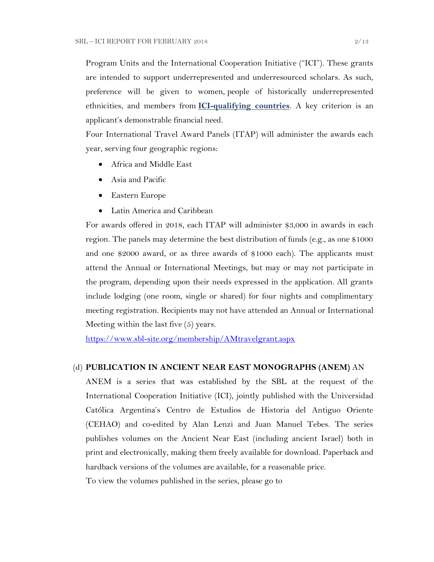Program Units and the International Cooperation Initiative ("ICI"). These grants are intended to support underrepresented and underresourced scholars. As such, preference will be given to women, people of historically underrepresented ethnicities, and members from **[ICI-qualifying countries](https://www.sbl-site.org/assets/pdfs/ICIcountries.pdf)**. A key criterion is an applicant's demonstrable financial need.

Four International Travel Award Panels (ITAP) will administer the awards each year, serving four geographic regions:

- Africa and Middle East
- Asia and Pacific
- Eastern Europe
- Latin America and Caribbean

For awards offered in 2018, each ITAP will administer \$3,000 in awards in each region. The panels may determine the best distribution of funds (e.g., as one \$1000 and one \$2000 award, or as three awards of \$1000 each). The applicants must attend the Annual or International Meetings, but may or may not participate in the program, depending upon their needs expressed in the application. All grants include lodging (one room, single or shared) for four nights and complimentary meeting registration. Recipients may not have attended an Annual or International Meeting within the last five (5) years.

<https://www.sbl-site.org/membership/AMtravelgrant.aspx>

#### (d) **PUBLICATION IN [ANCIENT NEAR EAST MONOGRAPHS](http://www.sbl-site.org/publications/Books_ANEmonographs.aspx) (ANEM)** AN

ANEM is a series that was established by the SBL at the request of the International Cooperation Initiative (ICI), jointly published with the Universidad Católica Argentina's Centro de Estudios de Historia del Antiguo Oriente (CEHAO) and co-edited by Alan Lenzi and Juan Manuel Tebes. The series publishes volumes on the Ancient Near East (including ancient Israel) both in print and electronically, making them freely available for download. Paperback and hardback versions of the volumes are available, for a reasonable price.

To view the volumes published in the series, please go to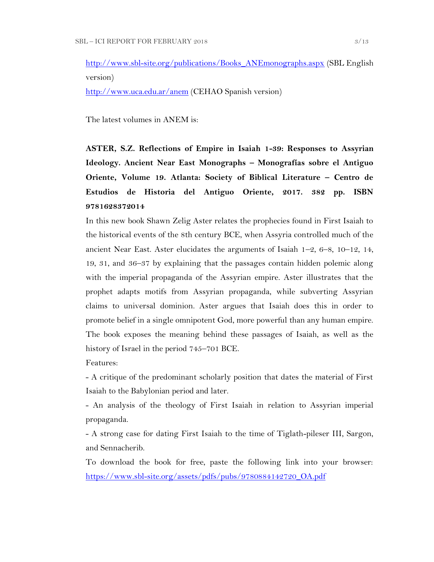[http://www.sbl-site.org/publications/Books\\_ANEmonographs.aspx](http://www.sbl-site.org/publications/Books_ANEmonographs.aspx) (SBL English version)

<http://www.uca.edu.ar/anem> (CEHAO Spanish version)

The latest volumes in ANEM is:

**ASTER, S.Z. Reflections of Empire in Isaiah 1-39: Responses to Assyrian Ideology. Ancient Near East Monographs – Monografías sobre el Antiguo Oriente, Volume 19. Atlanta: Society of Biblical Literature – Centro de Estudios de Historia del Antiguo Oriente, 2017. 382 pp. ISBN 9781628372014**

In this new book Shawn Zelig Aster relates the prophecies found in First Isaiah to the historical events of the 8th century BCE, when Assyria controlled much of the ancient Near East. Aster elucidates the arguments of Isaiah 1–2, 6–8, 10–12, 14, 19, 31, and 36–37 by explaining that the passages contain hidden polemic along with the imperial propaganda of the Assyrian empire. Aster illustrates that the prophet adapts motifs from Assyrian propaganda, while subverting Assyrian claims to universal dominion. Aster argues that Isaiah does this in order to promote belief in a single omnipotent God, more powerful than any human empire. The book exposes the meaning behind these passages of Isaiah, as well as the history of Israel in the period 745–701 BCE.

Features:

- A critique of the predominant scholarly position that dates the material of First Isaiah to the Babylonian period and later.

- An analysis of the theology of First Isaiah in relation to Assyrian imperial propaganda.

- A strong case for dating First Isaiah to the time of Tiglath-pileser III, Sargon, and Sennacherib.

To download the book for free, paste the following link into your browser: [https://www.sbl-site.org/assets/pdfs/pubs/9780884142720\\_OA.pdf](https://www.sbl-site.org/assets/pdfs/pubs/9780884142720_OA.pdf)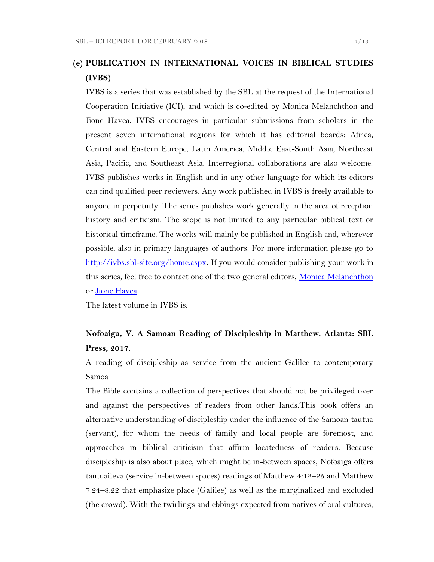## **(e) PUBLICATION IN INTERNATIONAL VOICES IN BIBLICAL STUDIES (IVBS)**

IVBS is a series that was established by the SBL at the request of the International Cooperation Initiative (ICI), and which is co-edited by Monica Melanchthon and Jione Havea. IVBS encourages in particular submissions from scholars in the present seven international regions for which it has editorial boards: Africa, Central and Eastern Europe, Latin America, Middle East-South Asia, Northeast Asia, Pacific, and Southeast Asia. Interregional collaborations are also welcome. IVBS publishes works in English and in any other language for which its editors can find qualified peer reviewers. Any work published in IVBS is freely available to anyone in perpetuity. The series publishes work generally in the area of reception history and criticism. The scope is not limited to any particular biblical text or historical timeframe. The works will mainly be published in English and, wherever possible, also in primary languages of authors. For more information please go to [http://ivbs.sbl-site.org/home.aspx.](http://ivbs.sbl-site.org/home.aspx) If you would consider publishing your work in this series, feel free to contact one of the two general editors, [Monica Melanchthon](mailto:ivbs2010@gmail.com) or [Jione Havea.](mailto:jioneh@nsw.uca.org.au)

The latest volume in IVBS is:

### **Nofoaiga, V. A Samoan Reading of Discipleship in Matthew. Atlanta: SBL Press, 2017.**

A reading of discipleship as service from the ancient Galilee to contemporary Samoa

The Bible contains a collection of perspectives that should not be privileged over and against the perspectives of readers from other lands.This book offers an alternative understanding of discipleship under the influence of the Samoan tautua (servant), for whom the needs of family and local people are foremost, and approaches in biblical criticism that affirm locatedness of readers. Because discipleship is also about place, which might be in-between spaces, Nofoaiga offers tautuaileva (service in-between spaces) readings of Matthew 4:12–25 and Matthew 7:24–8:22 that emphasize place (Galilee) as well as the marginalized and excluded (the crowd). With the twirlings and ebbings expected from natives of oral cultures,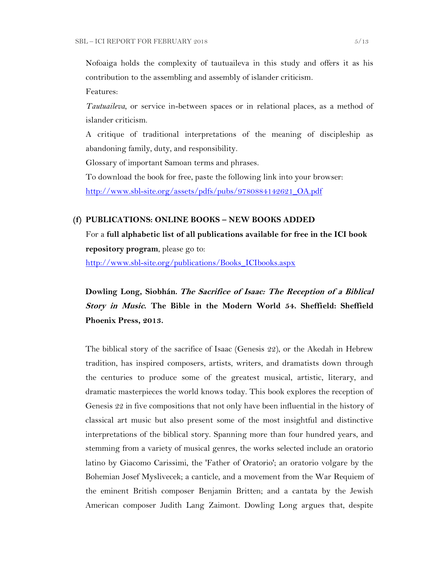Nofoaiga holds the complexity of tautuaileva in this study and offers it as his contribution to the assembling and assembly of islander criticism.

Features:

*Tautuaileva*, or service in-between spaces or in relational places, as a method of islander criticism.

A critique of traditional interpretations of the meaning of discipleship as abandoning family, duty, and responsibility.

Glossary of important Samoan terms and phrases.

To download the book for free, paste the following link into your browser:

[http://www.sbl-site.org/assets/pdfs/pubs/9780884142621\\_OA.pdf](http://www.sbl-site.org/assets/pdfs/pubs/9780884142621_OA.pdf)

#### **(f) PUBLICATIONS: ONLINE BOOKS – NEW BOOKS ADDED**

For a **full alphabetic list of all publications available for free in the ICI book repository program**, please go to:

[http://www.sbl-site.org/publications/Books\\_ICIbooks.aspx](http://www.sbl-site.org/publications/Books_ICIbooks.aspx)

**Dowling Long, Siobhán. The Sacrifice of Isaac: The Reception of a Biblical Story in Music. The Bible in the Modern World 54. Sheffield: Sheffield Phoenix Press, 2013.**

The biblical story of the sacrifice of Isaac (Genesis 22), or the Akedah in Hebrew tradition, has inspired composers, artists, writers, and dramatists down through the centuries to produce some of the greatest musical, artistic, literary, and dramatic masterpieces the world knows today. This book explores the reception of Genesis 22 in five compositions that not only have been influential in the history of classical art music but also present some of the most insightful and distinctive interpretations of the biblical story. Spanning more than four hundred years, and stemming from a variety of musical genres, the works selected include an oratorio latino by Giacomo Carissimi, the 'Father of Oratorio'; an oratorio volgare by the Bohemian Josef Myslivecek; a canticle, and a movement from the War Requiem of the eminent British composer Benjamin Britten; and a cantata by the Jewish American composer Judith Lang Zaimont. Dowling Long argues that, despite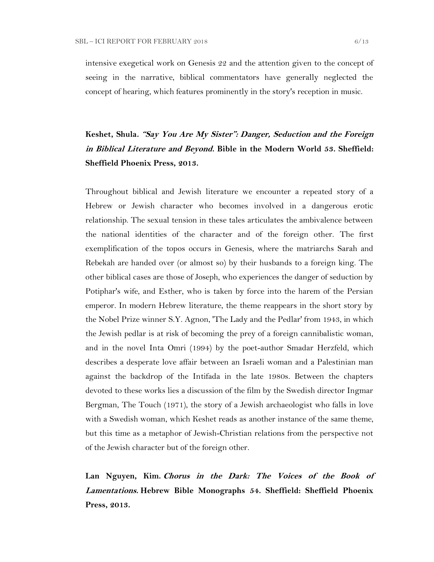intensive exegetical work on Genesis 22 and the attention given to the concept of seeing in the narrative, biblical commentators have generally neglected the concept of hearing, which features prominently in the story's reception in music.

# **Keshet, Shula. "Say You Are My Sister": Danger, Seduction and the Foreign in Biblical Literature and Beyond. Bible in the Modern World 53. Sheffield: Sheffield Phoenix Press, 2013.**

Throughout biblical and Jewish literature we encounter a repeated story of a Hebrew or Jewish character who becomes involved in a dangerous erotic relationship. The sexual tension in these tales articulates the ambivalence between the national identities of the character and of the foreign other. The first exemplification of the topos occurs in Genesis, where the matriarchs Sarah and Rebekah are handed over (or almost so) by their husbands to a foreign king. The other biblical cases are those of Joseph, who experiences the danger of seduction by Potiphar's wife, and Esther, who is taken by force into the harem of the Persian emperor. In modern Hebrew literature, the theme reappears in the short story by the Nobel Prize winner S.Y. Agnon, 'The Lady and the Pedlar' from 1943, in which the Jewish pedlar is at risk of becoming the prey of a foreign cannibalistic woman, and in the novel Inta Omri (1994) by the poet-author Smadar Herzfeld, which describes a desperate love affair between an Israeli woman and a Palestinian man against the backdrop of the Intifada in the late 1980s. Between the chapters devoted to these works lies a discussion of the film by the Swedish director Ingmar Bergman, The Touch (1971), the story of a Jewish archaeologist who falls in love with a Swedish woman, which Keshet reads as another instance of the same theme, but this time as a metaphor of Jewish-Christian relations from the perspective not of the Jewish character but of the foreign other.

**Lan Nguyen, Kim. Chorus in the Dark: The Voices of the Book of Lamentations. Hebrew Bible Monographs 54. Sheffield: Sheffield Phoenix Press, 2013.**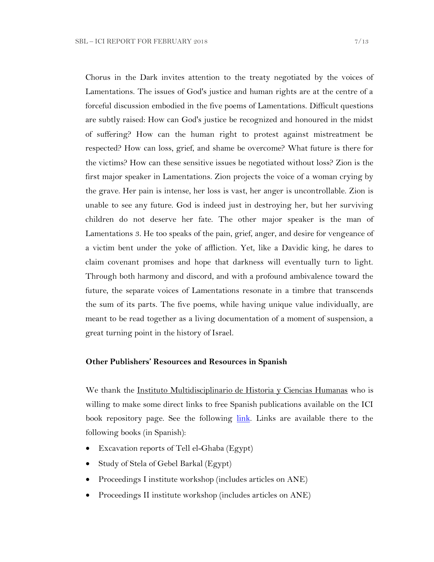Chorus in the Dark invites attention to the treaty negotiated by the voices of Lamentations. The issues of God's justice and human rights are at the centre of a forceful discussion embodied in the five poems of Lamentations. Difficult questions are subtly raised: How can God's justice be recognized and honoured in the midst of suffering? How can the human right to protest against mistreatment be respected? How can loss, grief, and shame be overcome? What future is there for the victims? How can these sensitive issues be negotiated without loss? Zion is the first major speaker in Lamentations. Zion projects the voice of a woman crying by the grave. Her pain is intense, her loss is vast, her anger is uncontrollable. Zion is unable to see any future. God is indeed just in destroying her, but her surviving children do not deserve her fate. The other major speaker is the man of Lamentations 3. He too speaks of the pain, grief, anger, and desire for vengeance of a victim bent under the yoke of affliction. Yet, like a Davidic king, he dares to claim covenant promises and hope that darkness will eventually turn to light. Through both harmony and discord, and with a profound ambivalence toward the future, the separate voices of Lamentations resonate in a timbre that transcends the sum of its parts. The five poems, while having unique value individually, are meant to be read together as a living documentation of a moment of suspension, a great turning point in the history of Israel.

#### **Other Publishers' Resources and Resources in Spanish**

We thank the Instituto Multidisciplinario de Historia y Ciencias Humanas who is willing to make some direct links to free Spanish publications available on the ICI book repository page. See the following [link.](https://www.sbl-site.org/publications/ICI_CONICET.aspx) Links are available there to the following books (in Spanish):

- Excavation reports of Tell el-Ghaba (Egypt)
- Study of Stela of Gebel Barkal (Egypt)
- Proceedings I institute workshop (includes articles on ANE)
- Proceedings II institute workshop (includes articles on ANE)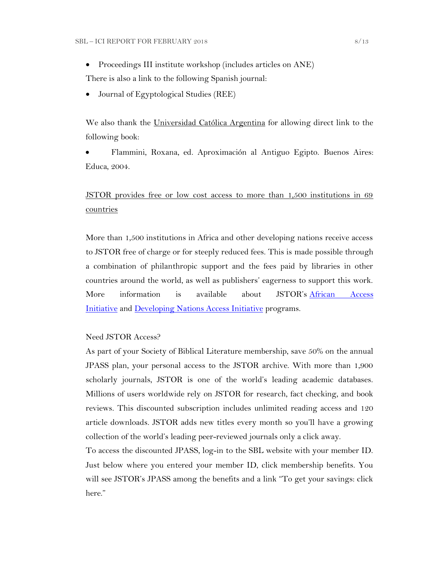• Proceedings III institute workshop (includes articles on ANE)

There is also a link to the following Spanish journal:

Journal of Egyptological Studies (REE)

We also thank the Universidad Católica Argentina for allowing direct link to the following book:

 Flammini, Roxana, ed. Aproximación al Antiguo Egipto. Buenos Aires: Educa, 2004.

## JSTOR provides free or low cost access to more than 1,500 institutions in 69 countries

More than 1,500 institutions in Africa and other developing nations receive access to JSTOR free of charge or for steeply reduced fees. This is made possible through a combination of philanthropic support and the fees paid by libraries in other countries around the world, as well as publishers' eagerness to support this work. More information is available about JSTOR's African Access [Initiative](http://about.jstor.org/libraries/african-access-initiative) and [Developing Nations Access Initiative](http://about.jstor.org/libraries/developing-nations-access-initiative) programs.

Need JSTOR Access?

As part of your Society of Biblical Literature membership, save 50% on the annual JPASS plan, your personal access to the JSTOR archive. With more than 1,900 scholarly journals, JSTOR is one of the world's leading academic databases. Millions of users worldwide rely on JSTOR for research, fact checking, and book reviews. This discounted subscription includes unlimited reading access and 120 article downloads. JSTOR adds new titles every month so you'll have a growing collection of the world's leading peer-reviewed journals only a click away.

To access the discounted JPASS, log-in to the SBL website with your member ID. Just below where you entered your member ID, click membership benefits. You will see JSTOR's JPASS among the benefits and a link "To get your savings: click here."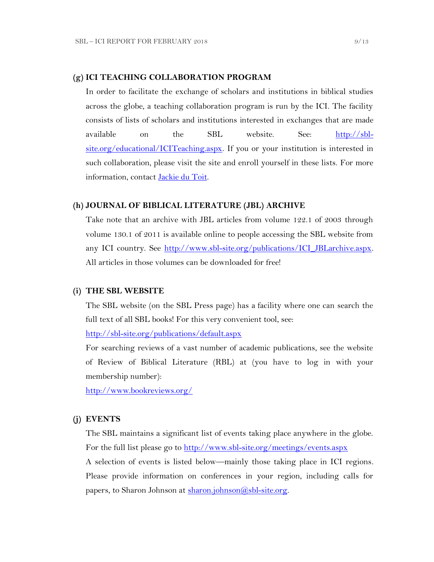#### **(g) ICI TEACHING COLLABORATION PROGRAM**

In order to facilitate the exchange of scholars and institutions in biblical studies across the globe, a teaching collaboration program is run by the ICI. The facility consists of lists of scholars and institutions interested in exchanges that are made available on the SBL website. See: [http://sbl](http://sbl-site.org/educational/ICITeaching.aspx)[site.org/educational/ICITeaching.aspx.](http://sbl-site.org/educational/ICITeaching.aspx) If you or your institution is interested in such collaboration, please visit the site and enroll yourself in these lists. For more information, contact [Jackie du Toit.](mailto:dutoitjs@ufs.ac.za)

#### **(h) JOURNAL OF BIBLICAL LITERATURE (JBL) ARCHIVE**

Take note that an archive with JBL articles from volume 122.1 of 2003 through volume 130.1 of 2011 is available online to people accessing the SBL website from any ICI country. See http://www.sbl-site.org/publications/ICI\_JBLarchive.aspx. All articles in those volumes can be downloaded for free!

#### **(i) THE SBL WEBSITE**

The SBL website (on the SBL Press page) has a facility where one can search the full text of all SBL books! For this very convenient tool, see:

<http://sbl-site.org/publications/default.aspx>

For searching reviews of a vast number of academic publications, see the website of Review of Biblical Literature (RBL) at (you have to log in with your membership number):

<http://www.bookreviews.org/>

#### **(j) EVENTS**

The SBL maintains a significant list of events taking place anywhere in the globe. For the full list please go to<http://www.sbl-site.org/meetings/events.aspx> A selection of events is listed below—mainly those taking place in ICI regions.

Please provide information on conferences in your region, including calls for papers, to Sharon Johnson at [sharon.johnson@sbl-site.org.](mailto:sharon.johnson@sbl-site.org)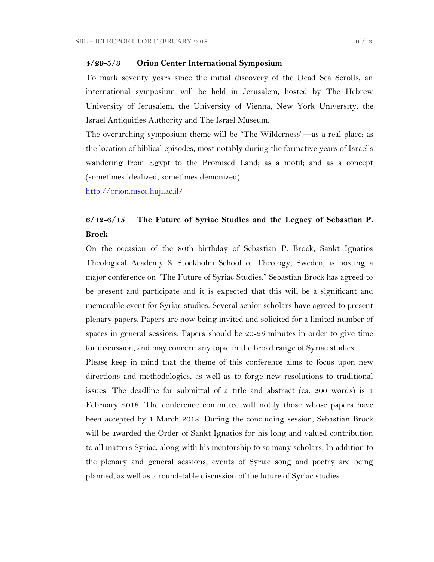#### **4/29-5/3 Orion Center International Symposium**

To mark seventy years since the initial discovery of the Dead Sea Scrolls, an international symposium will be held in Jerusalem, hosted by The Hebrew University of Jerusalem, the University of Vienna, New York University, the Israel Antiquities Authority and The Israel Museum.

The overarching symposium theme will be "The Wilderness"—as a real place; as the location of biblical episodes, most notably during the formative years of Israel's wandering from Egypt to the Promised Land; as a motif; and as a concept (sometimes idealized, sometimes demonized).

<http://orion.mscc.huji.ac.il/>

### **6/12-6/15 The Future of Syriac Studies and the Legacy of Sebastian P. Brock**

On the occasion of the 80th birthday of Sebastian P. Brock, Sankt Ignatios Theological Academy & Stockholm School of Theology, Sweden, is hosting a major conference on "The Future of Syriac Studies." Sebastian Brock has agreed to be present and participate and it is expected that this will be a significant and memorable event for Syriac studies. Several senior scholars have agreed to present plenary papers. Papers are now being invited and solicited for a limited number of spaces in general sessions. Papers should be 20-25 minutes in order to give time for discussion, and may concern any topic in the broad range of Syriac studies.

Please keep in mind that the theme of this conference aims to focus upon new directions and methodologies, as well as to forge new resolutions to traditional issues. The deadline for submittal of a title and abstract (ca. 200 words) is 1 February 2018. The conference committee will notify those whose papers have been accepted by 1 March 2018. During the concluding session, Sebastian Brock will be awarded the Order of Sankt Ignatios for his long and valued contribution to all matters Syriac, along with his mentorship to so many scholars. In addition to the plenary and general sessions, events of Syriac song and poetry are being planned, as well as a round-table discussion of the future of Syriac studies.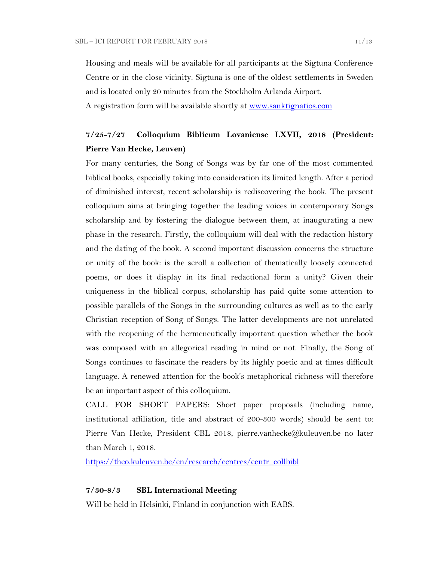Housing and meals will be available for all participants at the Sigtuna Conference Centre or in the close vicinity. Sigtuna is one of the oldest settlements in Sweden and is located only 20 minutes from the Stockholm Arlanda Airport. A registration form will be available shortly at [www.sanktignatios.com](../Ediciones%20UCA/ICI/ICI%20Newsletter%20Tebes/www.sanktignatios.com)

## **7/25-7/27 Colloquium Biblicum Lovaniense LXVII, 2018 (President: Pierre Van Hecke, Leuven)**

For many centuries, the Song of Songs was by far one of the most commented biblical books, especially taking into consideration its limited length. After a period of diminished interest, recent scholarship is rediscovering the book. The present colloquium aims at bringing together the leading voices in contemporary Songs scholarship and by fostering the dialogue between them, at inaugurating a new phase in the research. Firstly, the colloquium will deal with the redaction history and the dating of the book. A second important discussion concerns the structure or unity of the book: is the scroll a collection of thematically loosely connected poems, or does it display in its final redactional form a unity? Given their uniqueness in the biblical corpus, scholarship has paid quite some attention to possible parallels of the Songs in the surrounding cultures as well as to the early Christian reception of Song of Songs. The latter developments are not unrelated with the reopening of the hermeneutically important question whether the book was composed with an allegorical reading in mind or not. Finally, the Song of Songs continues to fascinate the readers by its highly poetic and at times difficult language. A renewed attention for the book's metaphorical richness will therefore be an important aspect of this colloquium.

CALL FOR SHORT PAPERS: Short paper proposals (including name, institutional affiliation, title and abstract of 200-300 words) should be sent to: Pierre Van Hecke, President CBL 2018, pierre.vanhecke@kuleuven.be no later than March 1, 2018.

[https://theo.kuleuven.be/en/research/centres/centr\\_collbibl](https://theo.kuleuven.be/en/research/centres/centr_collbibl)

#### **7/30-8/3 SBL International Meeting**

Will be held in Helsinki, Finland in conjunction with EABS.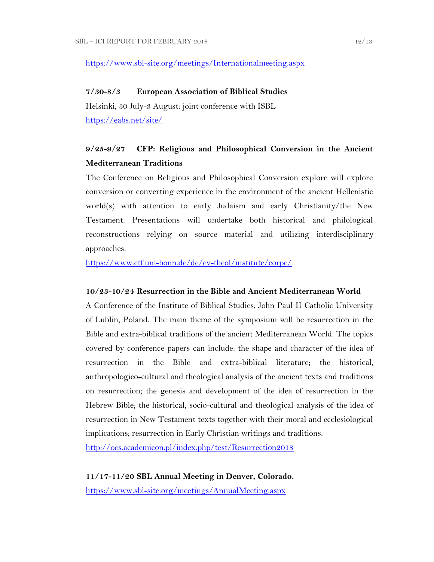### <https://www.sbl-site.org/meetings/Internationalmeeting.aspx>

#### **7/30-8/3 European Association of Biblical Studies**

Helsinki, 30 July-3 August: joint conference with ISBL <https://eabs.net/site/>

## **9/25-9/27 CFP: Religious and Philosophical Conversion in the Ancient Mediterranean Traditions**

The Conference on Religious and Philosophical Conversion explore will explore conversion or converting experience in the environment of the ancient Hellenistic world(s) with attention to early Judaism and early Christianity/the New Testament. Presentations will undertake both historical and philological reconstructions relying on source material and utilizing interdisciplinary approaches.

<https://www.etf.uni-bonn.de/de/ev-theol/institute/corpc/>

#### **10/23-10/24 Resurrection in the Bible and Ancient Mediterranean World**

A Conference of the Institute of Biblical Studies, John Paul II Catholic University of Lublin, Poland. The main theme of the symposium will be resurrection in the Bible and extra-biblical traditions of the ancient Mediterranean World. The topics covered by conference papers can include: the shape and character of the idea of resurrection in the Bible and extra-biblical literature; the historical, anthropologico-cultural and theological analysis of the ancient texts and traditions on resurrection; the genesis and development of the idea of resurrection in the Hebrew Bible; the historical, socio-cultural and theological analysis of the idea of resurrection in New Testament texts together with their moral and ecclesiological implications; resurrection in Early Christian writings and traditions.

<http://ocs.academicon.pl/index.php/test/Resurrection2018>

**11/17-11/20 SBL Annual Meeting in Denver, Colorado.** <https://www.sbl-site.org/meetings/AnnualMeeting.aspx>